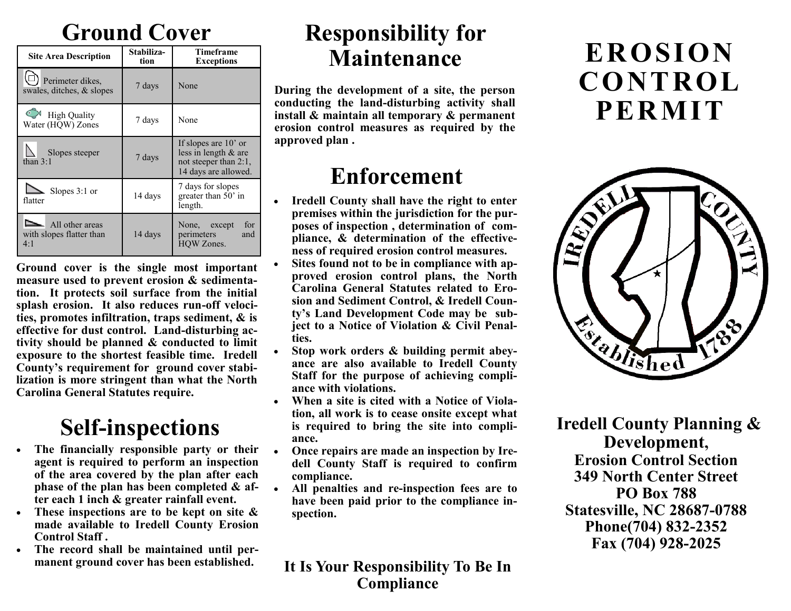# **Ground Cover**

| <b>Site Area Description</b>                       | Stabiliza-<br>tion | <b>Timeframe</b><br><b>Exceptions</b>                                                           |
|----------------------------------------------------|--------------------|-------------------------------------------------------------------------------------------------|
| Perimeter dikes,<br>swales, ditches, & slopes      | 7 days             | None                                                                                            |
| <b>High Quality</b><br>Water (HQW) Zones           | 7 days             | None                                                                                            |
| Slopes steeper<br>than $3:1$                       | 7 days             | If slopes are $10'$ or<br>less in length & are<br>not steeper than 2:1,<br>14 days are allowed. |
| $\sum$ Slopes 3:1 or<br>flatter                    | 14 days            | 7 days for slopes<br>greater than 50' in<br>length.                                             |
| All other areas<br>with slopes flatter than<br>4:1 | 14 days            | for<br>None, except<br>perimeters<br>and<br>HOW Zones.                                          |

**Ground cover is the single most important measure used to prevent erosion & sedimentation. It protects soil surface from the initial splash erosion. It also reduces run-off velocities, promotes infiltration, traps sediment, & is effective for dust control. Land-disturbing activity should be planned & conducted to limit exposure to the shortest feasible time. Iredell County's requirement for ground cover stabilization is more stringent than what the North Carolina General Statutes require.**

# **Self-inspections**

- **The financially responsible party or their agent is required to perform an inspection of the area covered by the plan after each phase of the plan has been completed & after each 1 inch & greater rainfall event.**
- **These inspections are to be kept on site & made available to Iredell County Erosion Control Staff .**
- **The record shall be maintained until permanent ground cover has been established.**

## **Responsibility for Maintenance**

**During the development of a site, the person conducting the land-disturbing activity shall install & maintain all temporary & permanent erosion control measures as required by the approved plan .** 

## **Enforcement**

- **Iredell County shall have the right to enter premises within the jurisdiction for the purposes of inspection , determination of compliance, & determination of the effectiveness of required erosion control measures.**
- **Sites found not to be in compliance with approved erosion control plans, the North Carolina General Statutes related to Erosion and Sediment Control, & Iredell County's Land Development Code may be subject to a Notice of Violation & Civil Penalties.**
- **Stop work orders & building permit abeyance are also available to Iredell County Staff for the purpose of achieving compliance with violations.**
- **When a site is cited with a Notice of Violation, all work is to cease onsite except what is required to bring the site into compliance.**
- **Once repairs are made an inspection by Iredell County Staff is required to confirm compliance.**
- **All penalties and re-inspection fees are to have been paid prior to the compliance inspection.**

#### **It Is Your Responsibility To Be In Compliance**

# **EROSION CONTROL PERMIT**



**Iredell County Planning & Development, Erosion Control Section 349 North Center Street PO Box 788 Statesville, NC 28687-0788 Phone(704) 832-2352 Fax (704) 928-2025**